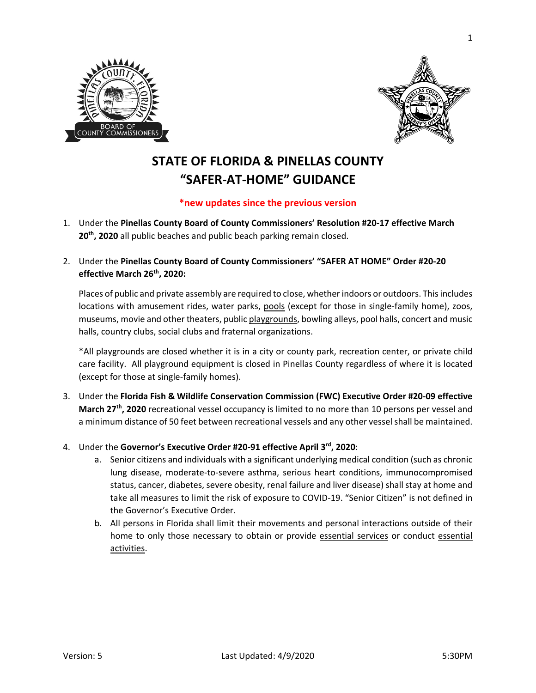



## **STATE OF FLORIDA & PINELLAS COUNTY "SAFER-AT-HOME" GUIDANCE**

## **\*new updates since the previous version**

- 1. Under the **Pinellas County Board of County Commissioners' Resolution #20-17 effective March 20th, 2020** all public beaches and public beach parking remain closed.
- 2. Under the **Pinellas County Board of County Commissioners' "SAFER AT HOME" Order #20-20 effective March 26th, 2020:**

Places of public and private assembly are required to close, whether indoors or outdoors. This includes locations with amusement rides, water parks, pools (except for those in single-family home), zoos, museums, movie and other theaters, public playgrounds, bowling alleys, pool halls, concert and music halls, country clubs, social clubs and fraternal organizations.

\*All playgrounds are closed whether it is in a city or county park, recreation center, or private child care facility. All playground equipment is closed in Pinellas County regardless of where it is located (except for those at single-family homes).

- 3. Under the **Florida Fish & Wildlife Conservation Commission (FWC) Executive Order #20-09 effective March 27<sup>th</sup>, 2020** recreational vessel occupancy is limited to no more than 10 persons per vessel and a minimum distance of 50 feet between recreational vessels and any other vessel shall be maintained.
- 4. Under the **Governor's Executive Order #20-91 effective April 3rd, 2020**:
	- a. Senior citizens and individuals with a significant underlying medical condition (such as chronic lung disease, moderate-to-severe asthma, serious heart conditions, immunocompromised status, cancer, diabetes, severe obesity, renal failure and liver disease) shall stay at home and take all measures to limit the risk of exposure to COVID-19. "Senior Citizen" is not defined in the Governor's Executive Order.
	- b. All persons in Florida shall limit their movements and personal interactions outside of their home to only those necessary to obtain or provide essential services or conduct essential activities.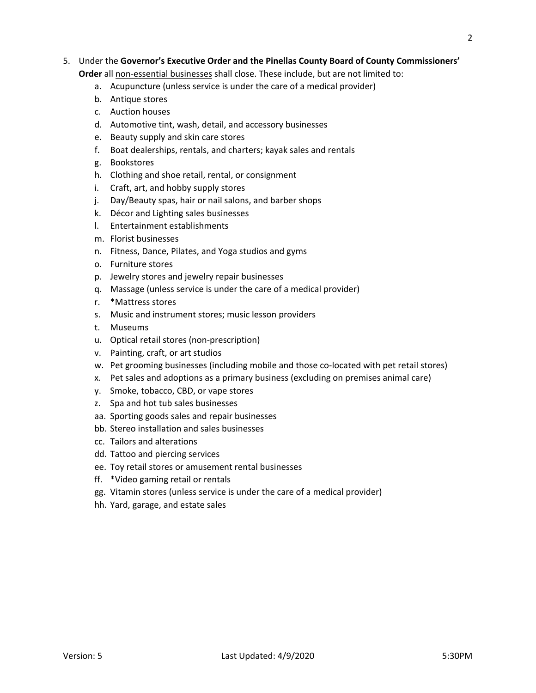## 5. Under the **Governor's Executive Order and the Pinellas County Board of County Commissioners' Order** all non-essential businesses shall close. These include, but are not limited to:

- a. Acupuncture (unless service is under the care of a medical provider)
- b. Antique stores
- c. Auction houses
- d. Automotive tint, wash, detail, and accessory businesses
- e. Beauty supply and skin care stores
- f. Boat dealerships, rentals, and charters; kayak sales and rentals
- g. Bookstores
- h. Clothing and shoe retail, rental, or consignment
- i. Craft, art, and hobby supply stores
- j. Day/Beauty spas, hair or nail salons, and barber shops
- k. Décor and Lighting sales businesses
- l. Entertainment establishments
- m. Florist businesses
- n. Fitness, Dance, Pilates, and Yoga studios and gyms
- o. Furniture stores
- p. Jewelry stores and jewelry repair businesses
- q. Massage (unless service is under the care of a medical provider)
- r. \*Mattress stores
- s. Music and instrument stores; music lesson providers
- t. Museums
- u. Optical retail stores (non-prescription)
- v. Painting, craft, or art studios
- w. Pet grooming businesses (including mobile and those co-located with pet retail stores)
- x. Pet sales and adoptions as a primary business (excluding on premises animal care)
- y. Smoke, tobacco, CBD, or vape stores
- z. Spa and hot tub sales businesses
- aa. Sporting goods sales and repair businesses
- bb. Stereo installation and sales businesses
- cc. Tailors and alterations
- dd. Tattoo and piercing services
- ee. Toy retail stores or amusement rental businesses
- ff. \*Video gaming retail or rentals
- gg. Vitamin stores (unless service is under the care of a medical provider)
- hh. Yard, garage, and estate sales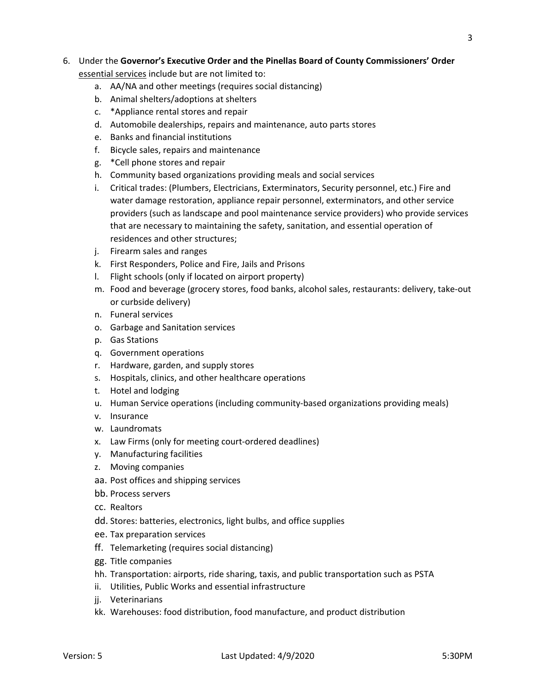## 6. Under the **Governor's Executive Order and the Pinellas Board of County Commissioners' Order**  essential services include but are not limited to:

- a. AA/NA and other meetings (requires social distancing)
- b. Animal shelters/adoptions at shelters
- c. \*Appliance rental stores and repair
- d. Automobile dealerships, repairs and maintenance, auto parts stores
- e. Banks and financial institutions
- f. Bicycle sales, repairs and maintenance
- g. \*Cell phone stores and repair
- h. Community based organizations providing meals and social services
- i. Critical trades: (Plumbers, Electricians, Exterminators, Security personnel, etc.) Fire and water damage restoration, appliance repair personnel, exterminators, and other service providers (such as landscape and pool maintenance service providers) who provide services that are necessary to maintaining the safety, sanitation, and essential operation of residences and other structures;
- j. Firearm sales and ranges
- k. First Responders, Police and Fire, Jails and Prisons
- l. Flight schools (only if located on airport property)
- m. Food and beverage (grocery stores, food banks, alcohol sales, restaurants: delivery, take-out or curbside delivery)
- n. Funeral services
- o. Garbage and Sanitation services
- p. Gas Stations
- q. Government operations
- r. Hardware, garden, and supply stores
- s. Hospitals, clinics, and other healthcare operations
- t. Hotel and lodging
- u. Human Service operations (including community-based organizations providing meals)
- v. Insurance
- w. Laundromats
- x. Law Firms (only for meeting court-ordered deadlines)
- y. Manufacturing facilities
- z. Moving companies
- aa. Post offices and shipping services
- bb. Process servers
- cc. Realtors
- dd. Stores: batteries, electronics, light bulbs, and office supplies
- ee. Tax preparation services
- ff. Telemarketing (requires social distancing)
- gg. Title companies
- hh. Transportation: airports, ride sharing, taxis, and public transportation such as PSTA
- ii. Utilities, Public Works and essential infrastructure
- jj. Veterinarians
- kk. Warehouses: food distribution, food manufacture, and product distribution